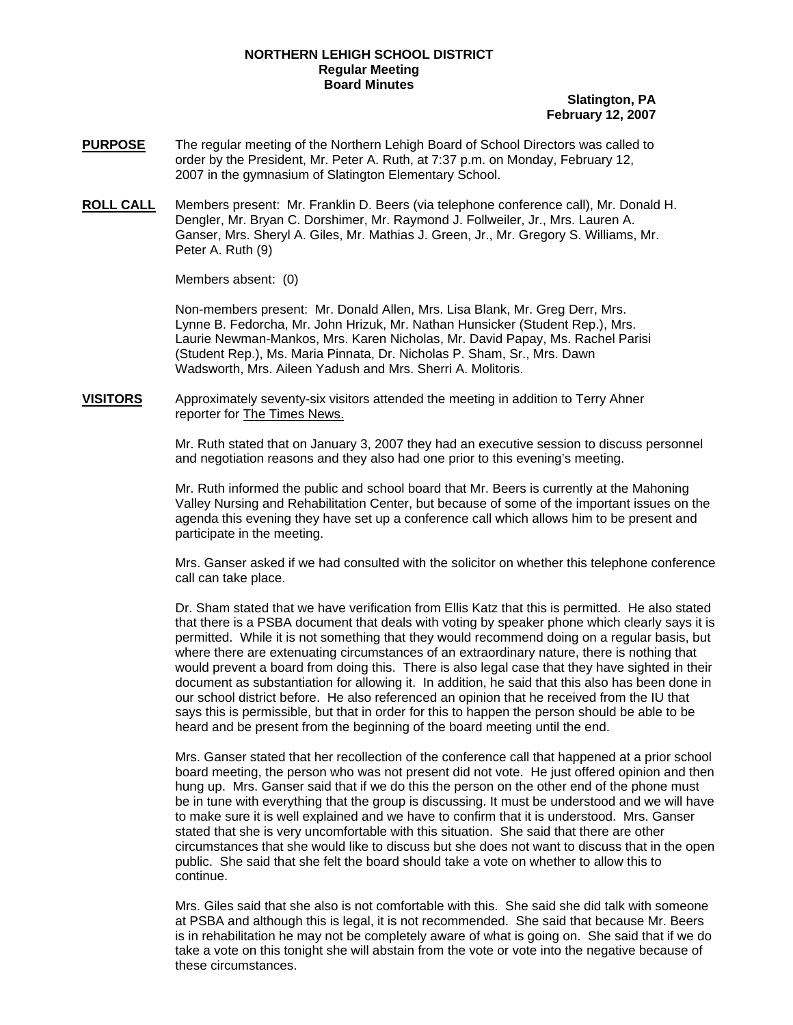## **NORTHERN LEHIGH SCHOOL DISTRICT Regular Meeting Board Minutes**

## **Slatington, PA February 12, 2007**

- **PURPOSE** The regular meeting of the Northern Lehigh Board of School Directors was called to order by the President, Mr. Peter A. Ruth, at 7:37 p.m. on Monday, February 12, 2007 in the gymnasium of Slatington Elementary School.
- **ROLL CALL** Members present: Mr. Franklin D. Beers (via telephone conference call), Mr. Donald H. Dengler, Mr. Bryan C. Dorshimer, Mr. Raymond J. Follweiler, Jr., Mrs. Lauren A. Ganser, Mrs. Sheryl A. Giles, Mr. Mathias J. Green, Jr., Mr. Gregory S. Williams, Mr. Peter A. Ruth (9)

Members absent: (0)

Non-members present: Mr. Donald Allen, Mrs. Lisa Blank, Mr. Greg Derr, Mrs. Lynne B. Fedorcha, Mr. John Hrizuk, Mr. Nathan Hunsicker (Student Rep.), Mrs. Laurie Newman-Mankos, Mrs. Karen Nicholas, Mr. David Papay, Ms. Rachel Parisi (Student Rep.), Ms. Maria Pinnata, Dr. Nicholas P. Sham, Sr., Mrs. Dawn Wadsworth, Mrs. Aileen Yadush and Mrs. Sherri A. Molitoris.

**VISITORS** Approximately seventy-six visitors attended the meeting in addition to Terry Ahner reporter for The Times News.

> Mr. Ruth stated that on January 3, 2007 they had an executive session to discuss personnel and negotiation reasons and they also had one prior to this evening's meeting.

Mr. Ruth informed the public and school board that Mr. Beers is currently at the Mahoning Valley Nursing and Rehabilitation Center, but because of some of the important issues on the agenda this evening they have set up a conference call which allows him to be present and participate in the meeting.

Mrs. Ganser asked if we had consulted with the solicitor on whether this telephone conference call can take place.

Dr. Sham stated that we have verification from Ellis Katz that this is permitted. He also stated that there is a PSBA document that deals with voting by speaker phone which clearly says it is permitted. While it is not something that they would recommend doing on a regular basis, but where there are extenuating circumstances of an extraordinary nature, there is nothing that would prevent a board from doing this. There is also legal case that they have sighted in their document as substantiation for allowing it. In addition, he said that this also has been done in our school district before. He also referenced an opinion that he received from the IU that says this is permissible, but that in order for this to happen the person should be able to be heard and be present from the beginning of the board meeting until the end.

Mrs. Ganser stated that her recollection of the conference call that happened at a prior school board meeting, the person who was not present did not vote. He just offered opinion and then hung up. Mrs. Ganser said that if we do this the person on the other end of the phone must be in tune with everything that the group is discussing. It must be understood and we will have to make sure it is well explained and we have to confirm that it is understood. Mrs. Ganser stated that she is very uncomfortable with this situation. She said that there are other circumstances that she would like to discuss but she does not want to discuss that in the open public. She said that she felt the board should take a vote on whether to allow this to continue.

Mrs. Giles said that she also is not comfortable with this. She said she did talk with someone at PSBA and although this is legal, it is not recommended. She said that because Mr. Beers is in rehabilitation he may not be completely aware of what is going on. She said that if we do take a vote on this tonight she will abstain from the vote or vote into the negative because of these circumstances.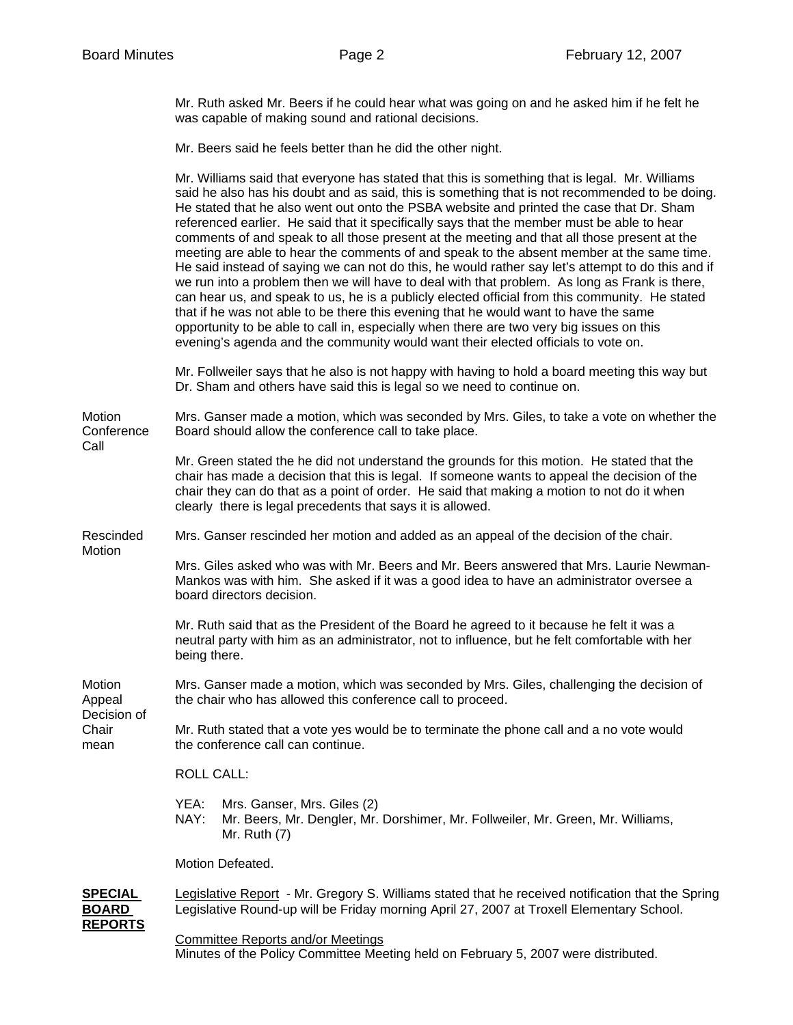Call

Mr. Ruth asked Mr. Beers if he could hear what was going on and he asked him if he felt he was capable of making sound and rational decisions.

Mr. Beers said he feels better than he did the other night.

Mr. Williams said that everyone has stated that this is something that is legal. Mr. Williams said he also has his doubt and as said, this is something that is not recommended to be doing. He stated that he also went out onto the PSBA website and printed the case that Dr. Sham referenced earlier. He said that it specifically says that the member must be able to hear comments of and speak to all those present at the meeting and that all those present at the meeting are able to hear the comments of and speak to the absent member at the same time. He said instead of saying we can not do this, he would rather say let's attempt to do this and if we run into a problem then we will have to deal with that problem. As long as Frank is there, can hear us, and speak to us, he is a publicly elected official from this community. He stated that if he was not able to be there this evening that he would want to have the same opportunity to be able to call in, especially when there are two very big issues on this evening's agenda and the community would want their elected officials to vote on. Mr. Follweiler says that he also is not happy with having to hold a board meeting this way but Dr. Sham and others have said this is legal so we need to continue on. Motion Mrs. Ganser made a motion, which was seconded by Mrs. Giles, to take a vote on whether the Conference Board should allow the conference call to take place. Mr. Green stated the he did not understand the grounds for this motion. He stated that the chair has made a decision that this is legal. If someone wants to appeal the decision of the chair they can do that as a point of order. He said that making a motion to not do it when clearly there is legal precedents that says it is allowed. Rescinded Mrs. Ganser rescinded her motion and added as an appeal of the decision of the chair. **Motion** Mrs. Giles asked who was with Mr. Beers and Mr. Beers answered that Mrs. Laurie Newman-Mankos was with him. She asked if it was a good idea to have an administrator oversee a board directors decision. Mr. Ruth said that as the President of the Board he agreed to it because he felt it was a neutral party with him as an administrator, not to influence, but he felt comfortable with her being there. Motion Mrs. Ganser made a motion, which was seconded by Mrs. Giles, challenging the decision of Appeal the chair who has allowed this conference call to proceed. Decision of Chair Mr. Ruth stated that a vote yes would be to terminate the phone call and a no vote would mean the conference call can continue.

ROLL CALL:

- YEA: Mrs. Ganser, Mrs. Giles (2)
- NAY: Mr. Beers, Mr. Dengler, Mr. Dorshimer, Mr. Follweiler, Mr. Green, Mr. Williams, Mr. Ruth (7)

Motion Defeated.

**SPECIAL** Legislative Report - Mr. Gregory S. Williams stated that he received notification that the Spring **BOARD** Legislative Round-up will be Friday morning April 27, 2007 at Troxell Elementary School. **REPORTS**

Committee Reports and/or Meetings

Minutes of the Policy Committee Meeting held on February 5, 2007 were distributed.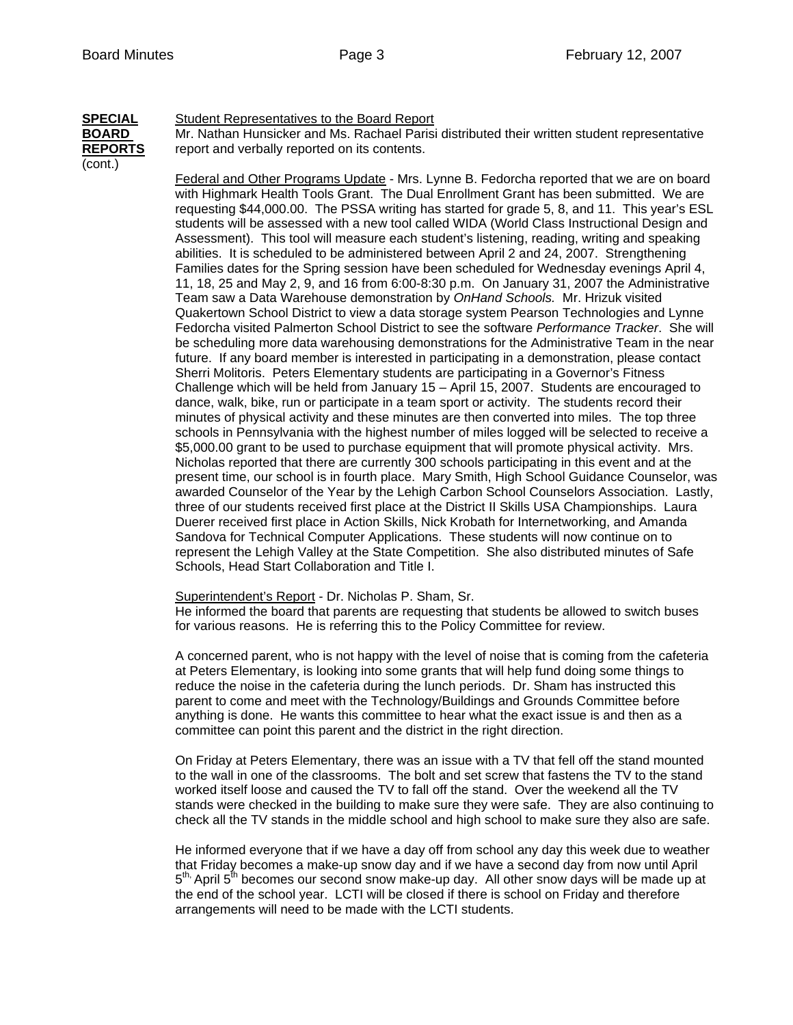## **SPECIAL** Student Representatives to the Board Report

(cont.)

**BOARD** Mr. Nathan Hunsicker and Ms. Rachael Parisi distributed their written student representative **REPORTS** report and verbally reported on its contents.

> Federal and Other Programs Update - Mrs. Lynne B. Fedorcha reported that we are on board with Highmark Health Tools Grant. The Dual Enrollment Grant has been submitted. We are requesting \$44,000.00. The PSSA writing has started for grade 5, 8, and 11. This year's ESL students will be assessed with a new tool called WIDA (World Class Instructional Design and Assessment). This tool will measure each student's listening, reading, writing and speaking abilities. It is scheduled to be administered between April 2 and 24, 2007. Strengthening Families dates for the Spring session have been scheduled for Wednesday evenings April 4, 11, 18, 25 and May 2, 9, and 16 from 6:00-8:30 p.m. On January 31, 2007 the Administrative Team saw a Data Warehouse demonstration by *OnHand Schools.* Mr. Hrizuk visited Quakertown School District to view a data storage system Pearson Technologies and Lynne Fedorcha visited Palmerton School District to see the software *Performance Tracker*. She will be scheduling more data warehousing demonstrations for the Administrative Team in the near future. If any board member is interested in participating in a demonstration, please contact Sherri Molitoris. Peters Elementary students are participating in a Governor's Fitness Challenge which will be held from January 15 – April 15, 2007. Students are encouraged to dance, walk, bike, run or participate in a team sport or activity. The students record their minutes of physical activity and these minutes are then converted into miles. The top three schools in Pennsylvania with the highest number of miles logged will be selected to receive a \$5,000.00 grant to be used to purchase equipment that will promote physical activity. Mrs. Nicholas reported that there are currently 300 schools participating in this event and at the present time, our school is in fourth place. Mary Smith, High School Guidance Counselor, was awarded Counselor of the Year by the Lehigh Carbon School Counselors Association. Lastly, three of our students received first place at the District II Skills USA Championships. Laura Duerer received first place in Action Skills, Nick Krobath for Internetworking, and Amanda Sandova for Technical Computer Applications. These students will now continue on to represent the Lehigh Valley at the State Competition. She also distributed minutes of Safe Schools, Head Start Collaboration and Title I.

Superintendent's Report - Dr. Nicholas P. Sham, Sr.

He informed the board that parents are requesting that students be allowed to switch buses for various reasons. He is referring this to the Policy Committee for review.

A concerned parent, who is not happy with the level of noise that is coming from the cafeteria at Peters Elementary, is looking into some grants that will help fund doing some things to reduce the noise in the cafeteria during the lunch periods. Dr. Sham has instructed this parent to come and meet with the Technology/Buildings and Grounds Committee before anything is done. He wants this committee to hear what the exact issue is and then as a committee can point this parent and the district in the right direction.

On Friday at Peters Elementary, there was an issue with a TV that fell off the stand mounted to the wall in one of the classrooms. The bolt and set screw that fastens the TV to the stand worked itself loose and caused the TV to fall off the stand. Over the weekend all the TV stands were checked in the building to make sure they were safe. They are also continuing to check all the TV stands in the middle school and high school to make sure they also are safe.

He informed everyone that if we have a day off from school any day this week due to weather that Friday becomes a make-up snow day and if we have a second day from now until April  $5<sup>th</sup>$  April  $5<sup>th</sup>$  becomes our second snow make-up day. All other snow days will be made up at the end of the school year. LCTI will be closed if there is school on Friday and therefore arrangements will need to be made with the LCTI students.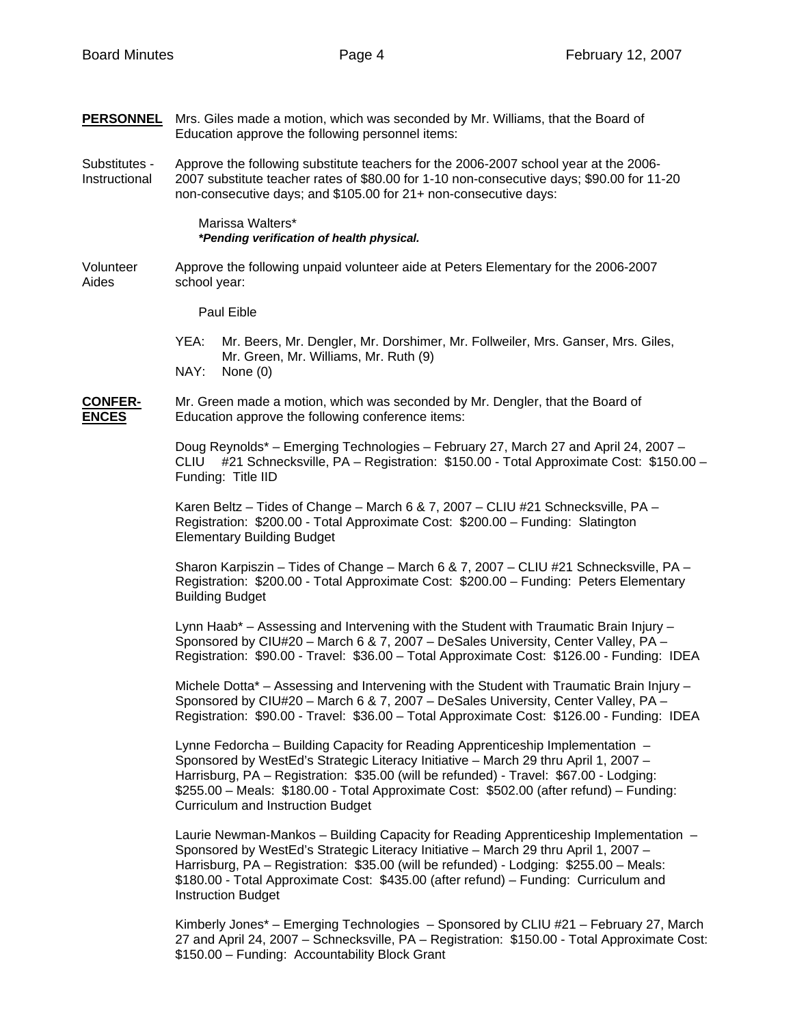| <b>PERSONNEL</b> Mrs. Giles made a motion, which was seconded by Mr. Williams, that the Board of |
|--------------------------------------------------------------------------------------------------|
| Education approve the following personnel items:                                                 |

Substitutes - Approve the following substitute teachers for the 2006-2007 school year at the 2006- Instructional 2007 substitute teacher rates of \$80.00 for 1-10 non-consecutive days; \$90.00 for 11-20 non-consecutive days; and \$105.00 for 21+ non-consecutive days:

> Marissa Walters\* *\*Pending verification of health physical.*

Volunteer Approve the following unpaid volunteer aide at Peters Elementary for the 2006-2007 Aides school year:

Paul Eible

- YEA: Mr. Beers, Mr. Dengler, Mr. Dorshimer, Mr. Follweiler, Mrs. Ganser, Mrs. Giles, Mr. Green, Mr. Williams, Mr. Ruth (9) NAY: None (0)
- **CONFER-** Mr. Green made a motion, which was seconded by Mr. Dengler, that the Board of **ENCES** Education approve the following conference items:

 Doug Reynolds\* – Emerging Technologies – February 27, March 27 and April 24, 2007 – CLIU #21 Schnecksville, PA – Registration: \$150.00 - Total Approximate Cost: \$150.00 – Funding: Title IID

Karen Beltz – Tides of Change – March 6 & 7, 2007 – CLIU #21 Schnecksville, PA – Registration: \$200.00 - Total Approximate Cost: \$200.00 – Funding: Slatington Elementary Building Budget

 Sharon Karpiszin – Tides of Change – March 6 & 7, 2007 – CLIU #21 Schnecksville, PA – Registration: \$200.00 - Total Approximate Cost: \$200.00 – Funding: Peters Elementary Building Budget

Lynn Haab\* – Assessing and Intervening with the Student with Traumatic Brain Injury – Sponsored by CIU#20 – March 6 & 7, 2007 – DeSales University, Center Valley, PA – Registration: \$90.00 - Travel: \$36.00 – Total Approximate Cost: \$126.00 - Funding: IDEA

Michele Dotta\* – Assessing and Intervening with the Student with Traumatic Brain Injury – Sponsored by CIU#20 – March 6 & 7, 2007 – DeSales University, Center Valley, PA – Registration: \$90.00 - Travel: \$36.00 – Total Approximate Cost: \$126.00 - Funding: IDEA

Lynne Fedorcha – Building Capacity for Reading Apprenticeship Implementation – Sponsored by WestEd's Strategic Literacy Initiative – March 29 thru April 1, 2007 – Harrisburg, PA – Registration: \$35.00 (will be refunded) - Travel: \$67.00 - Lodging: \$255.00 – Meals: \$180.00 - Total Approximate Cost: \$502.00 (after refund) – Funding: Curriculum and Instruction Budget

Laurie Newman-Mankos – Building Capacity for Reading Apprenticeship Implementation – Sponsored by WestEd's Strategic Literacy Initiative – March 29 thru April 1, 2007 – Harrisburg, PA – Registration: \$35.00 (will be refunded) - Lodging: \$255.00 – Meals: \$180.00 - Total Approximate Cost: \$435.00 (after refund) – Funding: Curriculum and Instruction Budget

Kimberly Jones\* – Emerging Technologies – Sponsored by CLIU #21 – February 27, March 27 and April 24, 2007 – Schnecksville, PA – Registration: \$150.00 - Total Approximate Cost: \$150.00 – Funding: Accountability Block Grant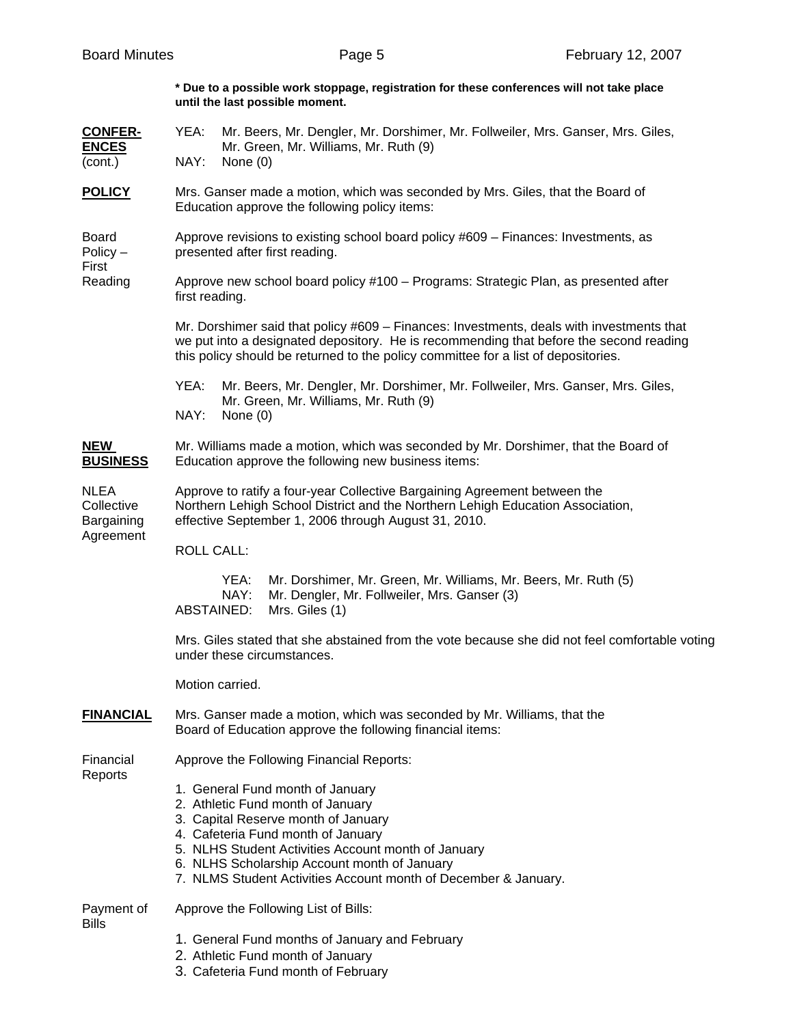**\* Due to a possible work stoppage, registration for these conferences will not take place until the last possible moment.** 

| <b>CONFER-</b><br><b>ENCES</b><br>(cont.)            | YEA:<br>Mr. Beers, Mr. Dengler, Mr. Dorshimer, Mr. Follweiler, Mrs. Ganser, Mrs. Giles,<br>Mr. Green, Mr. Williams, Mr. Ruth (9)<br>NAY:<br>None $(0)$                                                                                                                                                                       |  |  |  |
|------------------------------------------------------|------------------------------------------------------------------------------------------------------------------------------------------------------------------------------------------------------------------------------------------------------------------------------------------------------------------------------|--|--|--|
| <b>POLICY</b>                                        | Mrs. Ganser made a motion, which was seconded by Mrs. Giles, that the Board of<br>Education approve the following policy items:                                                                                                                                                                                              |  |  |  |
| <b>Board</b><br>$Policy -$<br>First<br>Reading       | Approve revisions to existing school board policy #609 - Finances: Investments, as<br>presented after first reading.                                                                                                                                                                                                         |  |  |  |
|                                                      | Approve new school board policy #100 - Programs: Strategic Plan, as presented after<br>first reading.                                                                                                                                                                                                                        |  |  |  |
|                                                      | Mr. Dorshimer said that policy #609 - Finances: Investments, deals with investments that<br>we put into a designated depository. He is recommending that before the second reading<br>this policy should be returned to the policy committee for a list of depositories.                                                     |  |  |  |
|                                                      | YEA:<br>Mr. Beers, Mr. Dengler, Mr. Dorshimer, Mr. Follweiler, Mrs. Ganser, Mrs. Giles,<br>Mr. Green, Mr. Williams, Mr. Ruth (9)<br>NAY:<br>None $(0)$                                                                                                                                                                       |  |  |  |
| <b>NEW</b><br><b>BUSINESS</b>                        | Mr. Williams made a motion, which was seconded by Mr. Dorshimer, that the Board of<br>Education approve the following new business items:                                                                                                                                                                                    |  |  |  |
| <b>NLEA</b><br>Collective<br>Bargaining<br>Agreement | Approve to ratify a four-year Collective Bargaining Agreement between the<br>Northern Lehigh School District and the Northern Lehigh Education Association,<br>effective September 1, 2006 through August 31, 2010.                                                                                                          |  |  |  |
|                                                      | <b>ROLL CALL:</b>                                                                                                                                                                                                                                                                                                            |  |  |  |
|                                                      | YEA:<br>Mr. Dorshimer, Mr. Green, Mr. Williams, Mr. Beers, Mr. Ruth (5)<br>NAY:<br>Mr. Dengler, Mr. Follweiler, Mrs. Ganser (3)<br><b>ABSTAINED:</b><br>Mrs. Giles (1)                                                                                                                                                       |  |  |  |
|                                                      | Mrs. Giles stated that she abstained from the vote because she did not feel comfortable voting<br>under these circumstances.                                                                                                                                                                                                 |  |  |  |
|                                                      | Motion carried.                                                                                                                                                                                                                                                                                                              |  |  |  |
| <b>FINANCIAL</b>                                     | Mrs. Ganser made a motion, which was seconded by Mr. Williams, that the<br>Board of Education approve the following financial items:                                                                                                                                                                                         |  |  |  |
| Financial<br>Reports                                 | Approve the Following Financial Reports:                                                                                                                                                                                                                                                                                     |  |  |  |
|                                                      | 1. General Fund month of January<br>2. Athletic Fund month of January<br>3. Capital Reserve month of January<br>4. Cafeteria Fund month of January<br>5. NLHS Student Activities Account month of January<br>6. NLHS Scholarship Account month of January<br>7. NLMS Student Activities Account month of December & January. |  |  |  |
| Payment of<br><b>Bills</b>                           | Approve the Following List of Bills:                                                                                                                                                                                                                                                                                         |  |  |  |
|                                                      | 1. General Fund months of January and February                                                                                                                                                                                                                                                                               |  |  |  |

- 2. Athletic Fund month of January
- 3. Cafeteria Fund month of February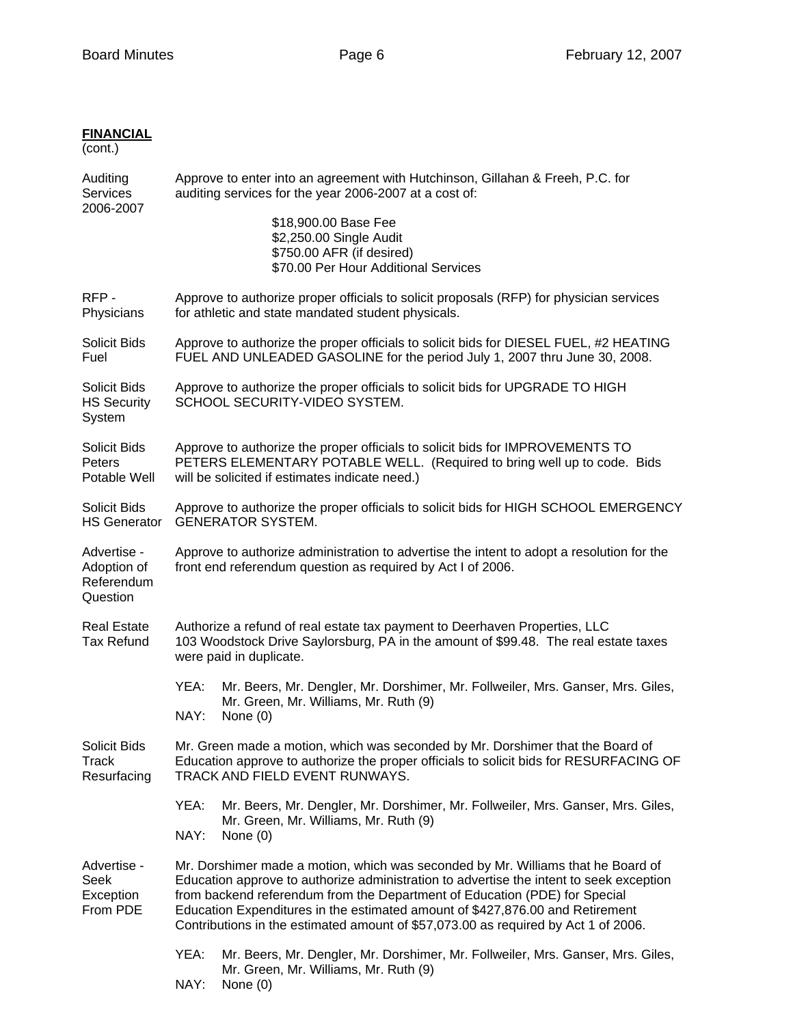## **FINANCIAL**

(cont.)

| Auditing<br><b>Services</b><br>2006-2007             | Approve to enter into an agreement with Hutchinson, Gillahan & Freeh, P.C. for<br>auditing services for the year 2006-2007 at a cost of:                                                                                                                                                                                                                                                                                         |  |  |  |  |
|------------------------------------------------------|----------------------------------------------------------------------------------------------------------------------------------------------------------------------------------------------------------------------------------------------------------------------------------------------------------------------------------------------------------------------------------------------------------------------------------|--|--|--|--|
|                                                      | \$18,900.00 Base Fee<br>\$2,250.00 Single Audit<br>\$750.00 AFR (if desired)<br>\$70.00 Per Hour Additional Services                                                                                                                                                                                                                                                                                                             |  |  |  |  |
| RFP-<br>Physicians                                   | Approve to authorize proper officials to solicit proposals (RFP) for physician services<br>for athletic and state mandated student physicals.                                                                                                                                                                                                                                                                                    |  |  |  |  |
| Solicit Bids<br>Fuel                                 | Approve to authorize the proper officials to solicit bids for DIESEL FUEL, #2 HEATING<br>FUEL AND UNLEADED GASOLINE for the period July 1, 2007 thru June 30, 2008.                                                                                                                                                                                                                                                              |  |  |  |  |
| Solicit Bids<br><b>HS Security</b><br>System         | Approve to authorize the proper officials to solicit bids for UPGRADE TO HIGH<br>SCHOOL SECURITY-VIDEO SYSTEM.                                                                                                                                                                                                                                                                                                                   |  |  |  |  |
| Solicit Bids<br>Peters<br>Potable Well               | Approve to authorize the proper officials to solicit bids for IMPROVEMENTS TO<br>PETERS ELEMENTARY POTABLE WELL. (Required to bring well up to code. Bids<br>will be solicited if estimates indicate need.)                                                                                                                                                                                                                      |  |  |  |  |
| Solicit Bids<br><b>HS Generator</b>                  | Approve to authorize the proper officials to solicit bids for HIGH SCHOOL EMERGENCY<br><b>GENERATOR SYSTEM.</b>                                                                                                                                                                                                                                                                                                                  |  |  |  |  |
| Advertise -<br>Adoption of<br>Referendum<br>Question | Approve to authorize administration to advertise the intent to adopt a resolution for the<br>front end referendum question as required by Act I of 2006.                                                                                                                                                                                                                                                                         |  |  |  |  |
| <b>Real Estate</b><br><b>Tax Refund</b>              | Authorize a refund of real estate tax payment to Deerhaven Properties, LLC<br>103 Woodstock Drive Saylorsburg, PA in the amount of \$99.48. The real estate taxes<br>were paid in duplicate.                                                                                                                                                                                                                                     |  |  |  |  |
|                                                      | YEA:<br>Mr. Beers, Mr. Dengler, Mr. Dorshimer, Mr. Follweiler, Mrs. Ganser, Mrs. Giles,<br>Mr. Green, Mr. Williams, Mr. Ruth (9)<br>NAY:<br>None (0)                                                                                                                                                                                                                                                                             |  |  |  |  |
| Solicit Bids<br>Track<br>Resurfacing                 | Mr. Green made a motion, which was seconded by Mr. Dorshimer that the Board of<br>Education approve to authorize the proper officials to solicit bids for RESURFACING OF<br>TRACK AND FIELD EVENT RUNWAYS.                                                                                                                                                                                                                       |  |  |  |  |
|                                                      | YEA:<br>Mr. Beers, Mr. Dengler, Mr. Dorshimer, Mr. Follweiler, Mrs. Ganser, Mrs. Giles,<br>Mr. Green, Mr. Williams, Mr. Ruth (9)<br>NAY:<br>None $(0)$                                                                                                                                                                                                                                                                           |  |  |  |  |
| Advertise -<br>Seek<br>Exception<br>From PDE         | Mr. Dorshimer made a motion, which was seconded by Mr. Williams that he Board of<br>Education approve to authorize administration to advertise the intent to seek exception<br>from backend referendum from the Department of Education (PDE) for Special<br>Education Expenditures in the estimated amount of \$427,876.00 and Retirement<br>Contributions in the estimated amount of \$57,073.00 as required by Act 1 of 2006. |  |  |  |  |
|                                                      | YEA:<br>Mr. Beers, Mr. Dengler, Mr. Dorshimer, Mr. Follweiler, Mrs. Ganser, Mrs. Giles,<br>Mr. Green, Mr. Williams, Mr. Ruth (9)<br>NAY:<br>None $(0)$                                                                                                                                                                                                                                                                           |  |  |  |  |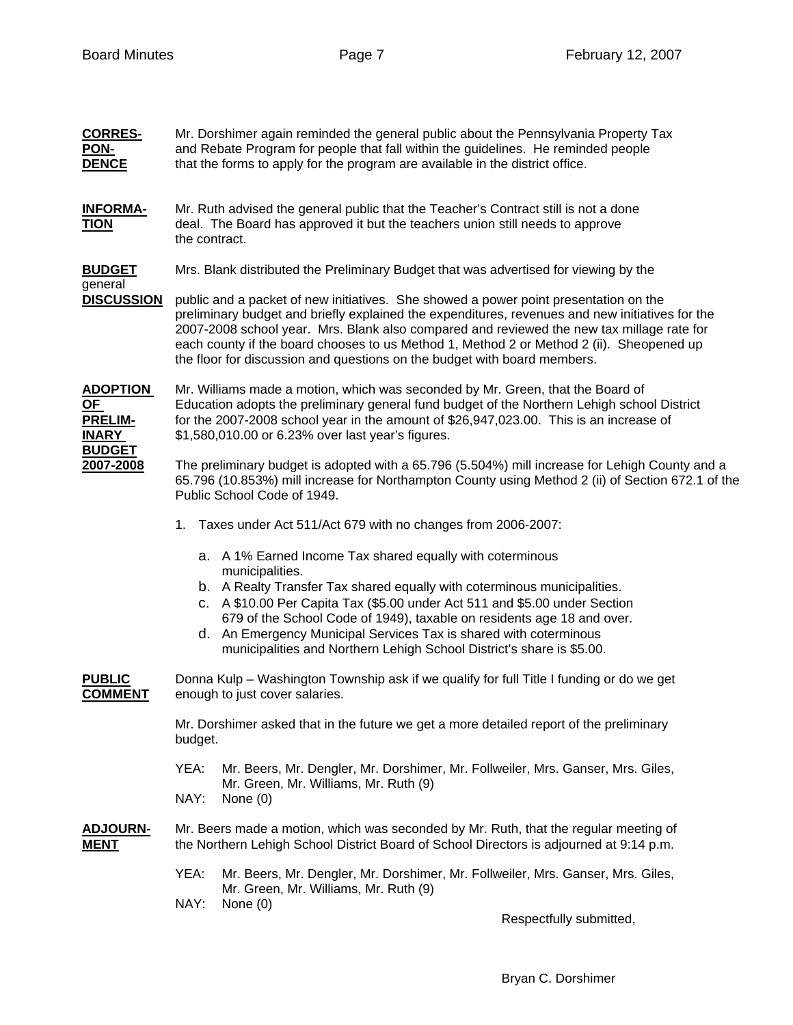| <b>CORRES-</b><br><b>PON-</b><br><b>DENCE</b>                  | Mr. Dorshimer again reminded the general public about the Pennsylvania Property Tax<br>and Rebate Program for people that fall within the guidelines. He reminded people<br>that the forms to apply for the program are available in the district office.                                                                    |                                                                                                                                                                                                                                                                                                                                                                                                                                                              |  |  |  |
|----------------------------------------------------------------|------------------------------------------------------------------------------------------------------------------------------------------------------------------------------------------------------------------------------------------------------------------------------------------------------------------------------|--------------------------------------------------------------------------------------------------------------------------------------------------------------------------------------------------------------------------------------------------------------------------------------------------------------------------------------------------------------------------------------------------------------------------------------------------------------|--|--|--|
| <b>INFORMA-</b><br><b>TION</b>                                 | Mr. Ruth advised the general public that the Teacher's Contract still is not a done<br>deal. The Board has approved it but the teachers union still needs to approve<br>the contract.                                                                                                                                        |                                                                                                                                                                                                                                                                                                                                                                                                                                                              |  |  |  |
| <u>BUDGET</u><br>general<br><b>DISCUSSION</b>                  | Mrs. Blank distributed the Preliminary Budget that was advertised for viewing by the                                                                                                                                                                                                                                         |                                                                                                                                                                                                                                                                                                                                                                                                                                                              |  |  |  |
|                                                                |                                                                                                                                                                                                                                                                                                                              | public and a packet of new initiatives. She showed a power point presentation on the<br>preliminary budget and briefly explained the expenditures, revenues and new initiatives for the<br>2007-2008 school year. Mrs. Blank also compared and reviewed the new tax millage rate for<br>each county if the board chooses to us Method 1, Method 2 or Method 2 (ii). Sheopened up<br>the floor for discussion and questions on the budget with board members. |  |  |  |
| <u>ADOPTION</u><br><u>OF</u><br><b>PRELIM-</b><br><b>INARY</b> | Mr. Williams made a motion, which was seconded by Mr. Green, that the Board of<br>Education adopts the preliminary general fund budget of the Northern Lehigh school District<br>for the 2007-2008 school year in the amount of \$26,947,023.00. This is an increase of<br>\$1,580,010.00 or 6.23% over last year's figures. |                                                                                                                                                                                                                                                                                                                                                                                                                                                              |  |  |  |
| <u>BUDGET</u><br>2007-2008                                     |                                                                                                                                                                                                                                                                                                                              | The preliminary budget is adopted with a 65.796 (5.504%) mill increase for Lehigh County and a<br>65.796 (10.853%) mill increase for Northampton County using Method 2 (ii) of Section 672.1 of the<br>Public School Code of 1949.                                                                                                                                                                                                                           |  |  |  |
|                                                                |                                                                                                                                                                                                                                                                                                                              | 1. Taxes under Act 511/Act 679 with no changes from 2006-2007:                                                                                                                                                                                                                                                                                                                                                                                               |  |  |  |
|                                                                |                                                                                                                                                                                                                                                                                                                              | a. A 1% Earned Income Tax shared equally with coterminous<br>municipalities.                                                                                                                                                                                                                                                                                                                                                                                 |  |  |  |
|                                                                |                                                                                                                                                                                                                                                                                                                              | b. A Realty Transfer Tax shared equally with coterminous municipalities.<br>c. A \$10.00 Per Capita Tax (\$5.00 under Act 511 and \$5.00 under Section<br>679 of the School Code of 1949), taxable on residents age 18 and over.<br>d. An Emergency Municipal Services Tax is shared with coterminous<br>municipalities and Northern Lehigh School District's share is \$5.00.                                                                               |  |  |  |
| PUBLIC<br><b>COMMENT</b>                                       |                                                                                                                                                                                                                                                                                                                              | Donna Kulp – Washington Township ask if we qualify for full Title I funding or do we get<br>enough to just cover salaries.                                                                                                                                                                                                                                                                                                                                   |  |  |  |
|                                                                | Mr. Dorshimer asked that in the future we get a more detailed report of the preliminary<br>budget.                                                                                                                                                                                                                           |                                                                                                                                                                                                                                                                                                                                                                                                                                                              |  |  |  |
|                                                                | YEA:                                                                                                                                                                                                                                                                                                                         | Mr. Beers, Mr. Dengler, Mr. Dorshimer, Mr. Follweiler, Mrs. Ganser, Mrs. Giles,<br>Mr. Green, Mr. Williams, Mr. Ruth (9)                                                                                                                                                                                                                                                                                                                                     |  |  |  |
|                                                                | NAY:                                                                                                                                                                                                                                                                                                                         | None $(0)$                                                                                                                                                                                                                                                                                                                                                                                                                                                   |  |  |  |
| <b>ADJOURN-</b><br><u>MENT</u>                                 |                                                                                                                                                                                                                                                                                                                              | Mr. Beers made a motion, which was seconded by Mr. Ruth, that the regular meeting of<br>the Northern Lehigh School District Board of School Directors is adjourned at 9:14 p.m.                                                                                                                                                                                                                                                                              |  |  |  |
|                                                                | YEA:                                                                                                                                                                                                                                                                                                                         | Mr. Beers, Mr. Dengler, Mr. Dorshimer, Mr. Follweiler, Mrs. Ganser, Mrs. Giles,<br>Mr. Green, Mr. Williams, Mr. Ruth (9)                                                                                                                                                                                                                                                                                                                                     |  |  |  |
|                                                                | NAY:                                                                                                                                                                                                                                                                                                                         | None $(0)$<br>Respectfully submitted,                                                                                                                                                                                                                                                                                                                                                                                                                        |  |  |  |